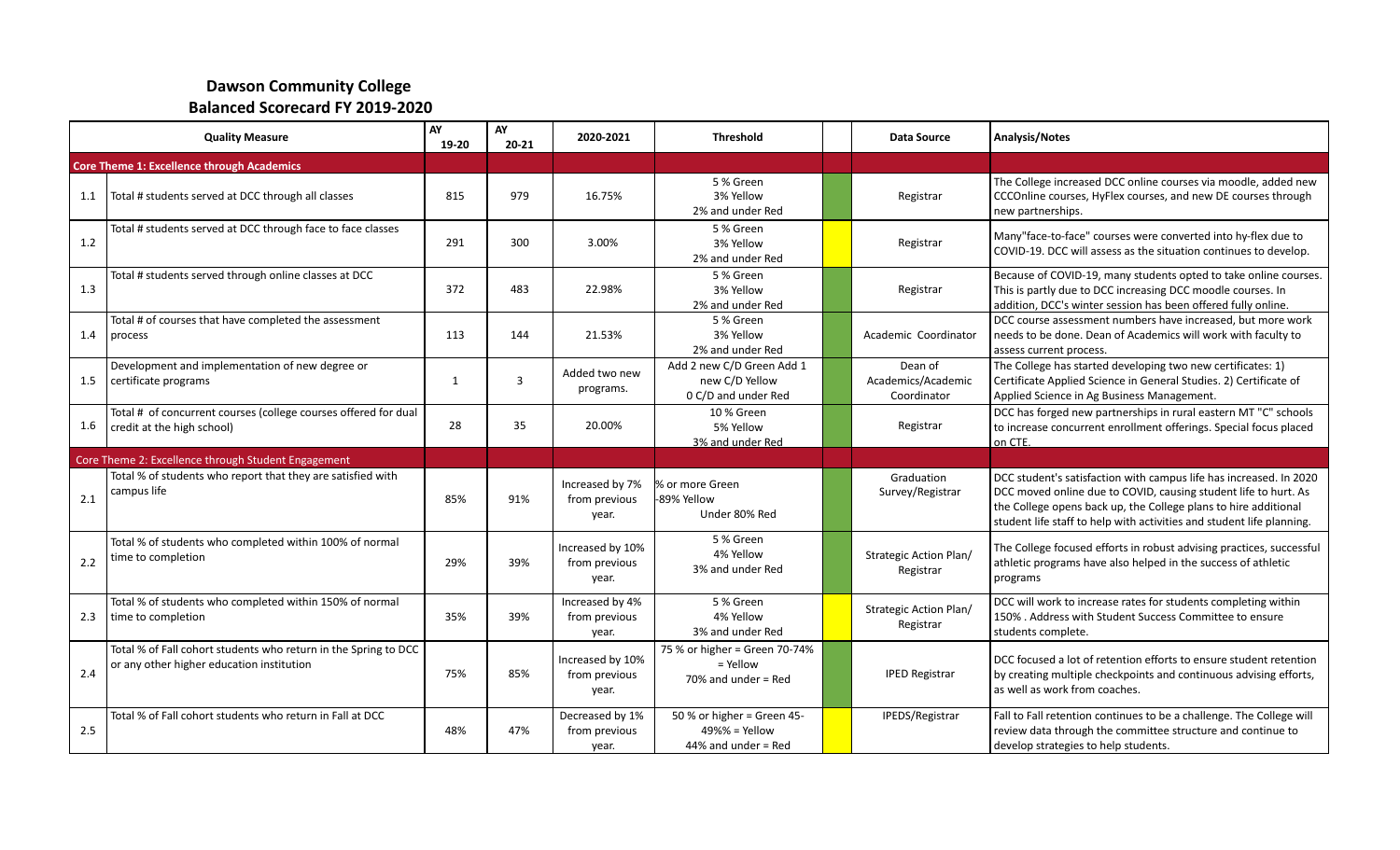## **Dawson Community College Balanced Scorecard FY 2019-2020**

| <b>Quality Measure</b> |                                                                                                              | AY<br>19-20  | AY<br>$20 - 21$ | 2020-2021                                  | <b>Threshold</b>                                                       | <b>Data Source</b>                           | Analysis/Notes                                                                                                                                                                                                                                                                    |
|------------------------|--------------------------------------------------------------------------------------------------------------|--------------|-----------------|--------------------------------------------|------------------------------------------------------------------------|----------------------------------------------|-----------------------------------------------------------------------------------------------------------------------------------------------------------------------------------------------------------------------------------------------------------------------------------|
|                        | <b>Core Theme 1: Excellence through Academics</b>                                                            |              |                 |                                            |                                                                        |                                              |                                                                                                                                                                                                                                                                                   |
| 1.1                    | Total # students served at DCC through all classes                                                           | 815          | 979             | 16.75%                                     | 5 % Green<br>3% Yellow<br>2% and under Red                             | Registrar                                    | The College increased DCC online courses via moodle, added new<br>CCCOnline courses, HyFlex courses, and new DE courses through<br>new partnerships.                                                                                                                              |
| 1.2                    | Total # students served at DCC through face to face classes                                                  | 291          | 300             | 3.00%                                      | 5 % Green<br>3% Yellow<br>2% and under Red                             | Registrar                                    | Many"face-to-face" courses were converted into hy-flex due to<br>COVID-19. DCC will assess as the situation continues to develop.                                                                                                                                                 |
| 1.3                    | Total # students served through online classes at DCC                                                        | 372          | 483             | 22.98%                                     | 5 % Green<br>3% Yellow<br>2% and under Red                             | Registrar                                    | Because of COVID-19, many students opted to take online courses.<br>This is partly due to DCC increasing DCC moodle courses. In<br>addition, DCC's winter session has been offered fully online.                                                                                  |
| 1.4                    | Total # of courses that have completed the assessment<br>process                                             | 113          | 144             | 21.53%                                     | 5 % Green<br>3% Yellow<br>2% and under Red                             | Academic Coordinator                         | DCC course assessment numbers have increased, but more work<br>needs to be done. Dean of Academics will work with faculty to<br>assess current process.                                                                                                                           |
| 1.5                    | Development and implementation of new degree or<br>certificate programs                                      | $\mathbf{1}$ | 3               | Added two new<br>programs.                 | Add 2 new C/D Green Add 1<br>new C/D Yellow<br>0 C/D and under Red     | Dean of<br>Academics/Academic<br>Coordinator | The College has started developing two new certificates: 1)<br>Certificate Applied Science in General Studies. 2) Certificate of<br>Applied Science in Ag Business Management.                                                                                                    |
| 1.6                    | Total # of concurrent courses (college courses offered for dual<br>credit at the high school)                | 28           | 35              | 20.00%                                     | 10 % Green<br>5% Yellow<br>3% and under Red                            | Registrar                                    | DCC has forged new partnerships in rural eastern MT "C" schools<br>to increase concurrent enrollment offerings. Special focus placed<br>on CTE.                                                                                                                                   |
|                        | Core Theme 2: Excellence through Student Engagement                                                          |              |                 |                                            |                                                                        |                                              |                                                                                                                                                                                                                                                                                   |
| 2.1                    | Total % of students who report that they are satisfied with<br>campus life                                   | 85%          | 91%             | Increased by 7%<br>from previous<br>year.  | % or more Green<br>-89% Yellow<br>Under 80% Red                        | Graduation<br>Survey/Registrar               | DCC student's satisfaction with campus life has increased. In 2020<br>DCC moved online due to COVID, causing student life to hurt. As<br>the College opens back up, the College plans to hire additional<br>student life staff to help with activities and student life planning. |
| 2.2                    | Total % of students who completed within 100% of normal<br>time to completion                                | 29%          | 39%             | Increased by 10%<br>from previous<br>year. | 5 % Green<br>4% Yellow<br>3% and under Red                             | Strategic Action Plan/<br>Registrar          | The College focused efforts in robust advising practices, successful<br>athletic programs have also helped in the success of athletic<br>programs                                                                                                                                 |
| 2.3                    | Total % of students who completed within 150% of normal<br>time to completion                                | 35%          | 39%             | Increased by 4%<br>from previous<br>year.  | 5 % Green<br>4% Yellow<br>3% and under Red                             | Strategic Action Plan/<br>Registrar          | DCC will work to increase rates for students completing within<br>150% . Address with Student Success Committee to ensure<br>students complete.                                                                                                                                   |
| 2.4                    | Total % of Fall cohort students who return in the Spring to DCC<br>or any other higher education institution | 75%          | 85%             | Increased by 10%<br>from previous<br>year. | 75 % or higher = Green 70-74%<br>$=$ Yellow<br>$70\%$ and under = Red  | <b>IPED Registrar</b>                        | DCC focused a lot of retention efforts to ensure student retention<br>by creating multiple checkpoints and continuous advising efforts,<br>l as well as work from coaches.                                                                                                        |
| 2.5                    | Total % of Fall cohort students who return in Fall at DCC                                                    | 48%          | 47%             | Decreased by 1%<br>from previous<br>year.  | 50 % or higher = Green 45-<br>$49\%$ % = Yellow<br>44% and under = Red | IPEDS/Registrar                              | Fall to Fall retention continues to be a challenge. The College will<br>review data through the committee structure and continue to<br>develop strategies to help students.                                                                                                       |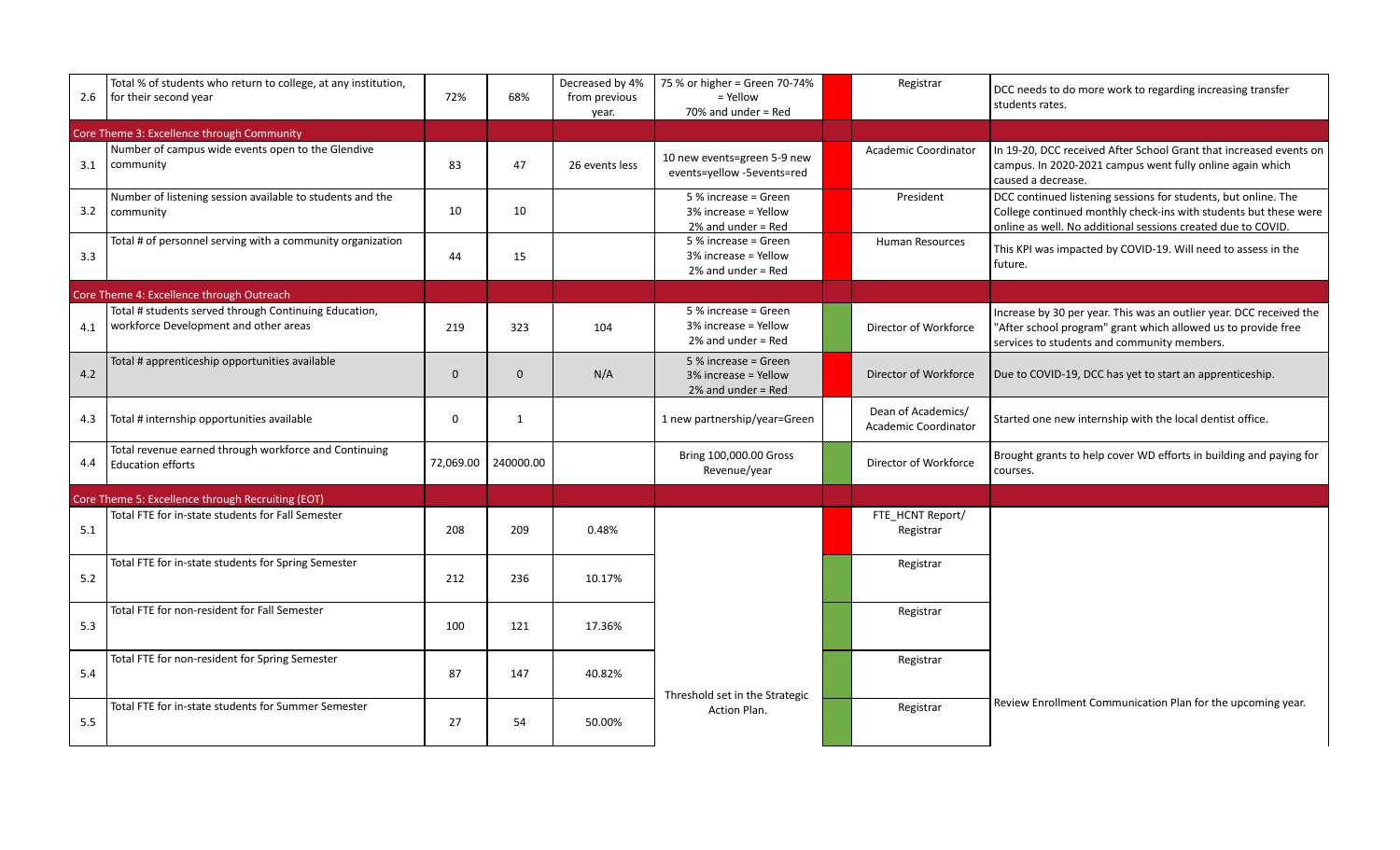| 2.6 | Total % of students who return to college, at any institution,<br>for their second year        | 72%       | 68%          | Decreased by 4%<br>from previous<br>year. | 75 % or higher = Green 70-74%<br>$=$ Yellow<br>$70\%$ and under = Red | Registrar                                  | DCC needs to do more work to regarding increasing transfer<br>students rates.                                                                                                                      |
|-----|------------------------------------------------------------------------------------------------|-----------|--------------|-------------------------------------------|-----------------------------------------------------------------------|--------------------------------------------|----------------------------------------------------------------------------------------------------------------------------------------------------------------------------------------------------|
|     | Core Theme 3: Excellence through Community                                                     |           |              |                                           |                                                                       |                                            |                                                                                                                                                                                                    |
| 3.1 | Number of campus wide events open to the Glendive<br>community                                 | 83        | 47           | 26 events less                            | 10 new events=green 5-9 new<br>events=yellow -5events=red             | <b>Academic Coordinator</b>                | In 19-20, DCC received After School Grant that increased events on<br>campus. In 2020-2021 campus went fully online again which<br>caused a decrease.                                              |
| 3.2 | Number of listening session available to students and the<br>community                         | 10        | 10           |                                           | 5 % increase = Green<br>3% increase = Yellow<br>$2\%$ and under = Red | President                                  | DCC continued listening sessions for students, but online. The<br>College continued monthly check-ins with students but these were<br>online as well. No additional sessions created due to COVID. |
| 3.3 | Total # of personnel serving with a community organization                                     | 44        | 15           |                                           | 5 % increase = Green<br>3% increase = Yellow<br>$2%$ and under = Red  | <b>Human Resources</b>                     | This KPI was impacted by COVID-19. Will need to assess in the<br>future.                                                                                                                           |
|     | Core Theme 4: Excellence through Outreach                                                      |           |              |                                           |                                                                       |                                            |                                                                                                                                                                                                    |
| 4.1 | Total # students served through Continuing Education,<br>workforce Development and other areas | 219       | 323          | 104                                       | 5 % increase = Green<br>3% increase = Yellow<br>$2%$ and under = Red  | Director of Workforce                      | Increase by 30 per year. This was an outlier year. DCC received the<br>"After school program" grant which allowed us to provide free<br>services to students and community members.                |
| 4.2 | Total # apprenticeship opportunities available                                                 | $\Omega$  | $\Omega$     | N/A                                       | 5 % increase = Green<br>3% increase = Yellow<br>$2\%$ and under = Red | Director of Workforce                      | Due to COVID-19, DCC has yet to start an apprenticeship.                                                                                                                                           |
| 4.3 | Total # internship opportunities available                                                     | $\Omega$  | $\mathbf{1}$ |                                           | 1 new partnership/year=Green                                          | Dean of Academics/<br>Academic Coordinator | Started one new internship with the local dentist office.                                                                                                                                          |
| 4.4 | Total revenue earned through workforce and Continuing<br><b>Education efforts</b>              | 72,069.00 | 240000.00    |                                           | Bring 100,000.00 Gross<br>Revenue/year                                | Director of Workforce                      | Brought grants to help cover WD efforts in building and paying for<br>courses.                                                                                                                     |
|     | Core Theme 5: Excellence through Recruiting (EOT)                                              |           |              |                                           |                                                                       |                                            |                                                                                                                                                                                                    |
| 5.1 | Total FTE for in-state students for Fall Semester                                              | 208       | 209          | 0.48%                                     |                                                                       | FTE HCNT Report/<br>Registrar              |                                                                                                                                                                                                    |
| 5.2 | Total FTE for in-state students for Spring Semester                                            | 212       | 236          | 10.17%                                    |                                                                       | Registrar                                  |                                                                                                                                                                                                    |
| 5.3 | Total FTE for non-resident for Fall Semester                                                   | 100       | 121          | 17.36%                                    |                                                                       | Registrar                                  |                                                                                                                                                                                                    |
| 5.4 | Total FTE for non-resident for Spring Semester                                                 | 87        | 147          | 40.82%                                    | Threshold set in the Strategic                                        | Registrar                                  |                                                                                                                                                                                                    |
| 5.5 | Total FTE for in-state students for Summer Semester                                            | 27        | 54           | 50.00%                                    | Action Plan.                                                          | Registrar                                  | Review Enrollment Communication Plan for the upcoming year.                                                                                                                                        |